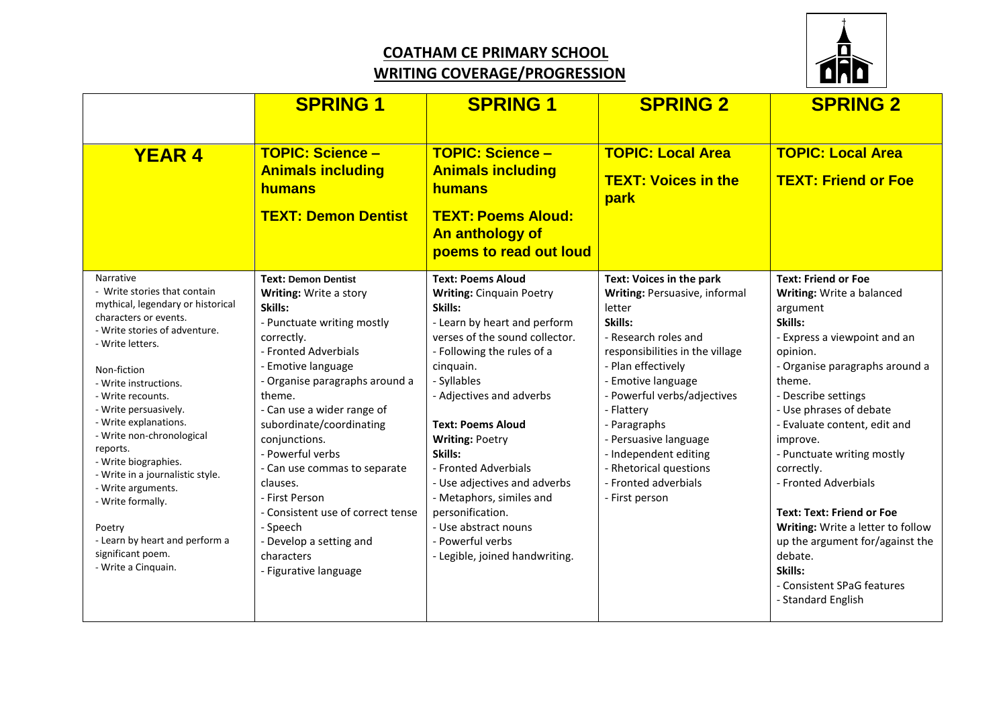## **COATHAM CE PRIMARY SCHOOL WRITING COVERAGE/PROGRESSION**



|                                                                                                                                                                                                                                                                                                                                                                                                                                                                                                                     | <b>SPRING 1</b>                                                                                                                                                                                                                                                                                                                                                                                                                                                                       | <b>SPRING 1</b>                                                                                                                                                                                                                                                                                                                                                                                                                                                                       | <b>SPRING 2</b>                                                                                                                                                                                                                                                                                                                                                                 | <b>SPRING 2</b>                                                                                                                                                                                                                                                                                                                                                                                                                                                                                                                |
|---------------------------------------------------------------------------------------------------------------------------------------------------------------------------------------------------------------------------------------------------------------------------------------------------------------------------------------------------------------------------------------------------------------------------------------------------------------------------------------------------------------------|---------------------------------------------------------------------------------------------------------------------------------------------------------------------------------------------------------------------------------------------------------------------------------------------------------------------------------------------------------------------------------------------------------------------------------------------------------------------------------------|---------------------------------------------------------------------------------------------------------------------------------------------------------------------------------------------------------------------------------------------------------------------------------------------------------------------------------------------------------------------------------------------------------------------------------------------------------------------------------------|---------------------------------------------------------------------------------------------------------------------------------------------------------------------------------------------------------------------------------------------------------------------------------------------------------------------------------------------------------------------------------|--------------------------------------------------------------------------------------------------------------------------------------------------------------------------------------------------------------------------------------------------------------------------------------------------------------------------------------------------------------------------------------------------------------------------------------------------------------------------------------------------------------------------------|
| <b>YEAR 4</b>                                                                                                                                                                                                                                                                                                                                                                                                                                                                                                       | <b>TOPIC: Science -</b><br><b>Animals including</b><br><b>humans</b><br><b>TEXT: Demon Dentist</b>                                                                                                                                                                                                                                                                                                                                                                                    | <b>TOPIC: Science -</b><br><b>Animals including</b><br>humans<br><b>TEXT: Poems Aloud:</b><br>An anthology of<br>poems to read out loud                                                                                                                                                                                                                                                                                                                                               | <b>TOPIC: Local Area</b><br><b>TEXT: Voices in the</b><br>park                                                                                                                                                                                                                                                                                                                  | <b>TOPIC: Local Area</b><br><b>TEXT: Friend or Foe</b>                                                                                                                                                                                                                                                                                                                                                                                                                                                                         |
| Narrative<br>- Write stories that contain<br>mythical, legendary or historical<br>characters or events.<br>- Write stories of adventure.<br>- Write letters.<br>Non-fiction<br>- Write instructions.<br>- Write recounts.<br>- Write persuasively.<br>- Write explanations.<br>- Write non-chronological<br>reports.<br>- Write biographies.<br>- Write in a journalistic style.<br>- Write arguments.<br>- Write formally.<br>Poetry<br>- Learn by heart and perform a<br>significant poem.<br>- Write a Cinquain. | <b>Text: Demon Dentist</b><br>Writing: Write a story<br>Skills:<br>- Punctuate writing mostly<br>correctly.<br>- Fronted Adverbials<br>- Emotive language<br>- Organise paragraphs around a<br>theme.<br>- Can use a wider range of<br>subordinate/coordinating<br>conjunctions.<br>- Powerful verbs<br>- Can use commas to separate<br>clauses.<br>- First Person<br>- Consistent use of correct tense<br>- Speech<br>- Develop a setting and<br>characters<br>- Figurative language | <b>Text: Poems Aloud</b><br><b>Writing: Cinquain Poetry</b><br>Skills:<br>- Learn by heart and perform<br>verses of the sound collector.<br>- Following the rules of a<br>cinquain.<br>- Syllables<br>- Adjectives and adverbs<br><b>Text: Poems Aloud</b><br><b>Writing: Poetry</b><br>Skills:<br>- Fronted Adverbials<br>- Use adjectives and adverbs<br>- Metaphors, similes and<br>personification.<br>- Use abstract nouns<br>- Powerful verbs<br>- Legible, joined handwriting. | <b>Text: Voices in the park</b><br>Writing: Persuasive, informal<br>letter<br>Skills:<br>- Research roles and<br>responsibilities in the village<br>- Plan effectively<br>- Emotive language<br>- Powerful verbs/adjectives<br>- Flattery<br>- Paragraphs<br>- Persuasive language<br>- Independent editing<br>- Rhetorical questions<br>- Fronted adverbials<br>- First person | <b>Text: Friend or Foe</b><br>Writing: Write a balanced<br>argument<br>Skills:<br>- Express a viewpoint and an<br>opinion.<br>- Organise paragraphs around a<br>theme.<br>- Describe settings<br>- Use phrases of debate<br>- Evaluate content, edit and<br>improve.<br>- Punctuate writing mostly<br>correctly.<br>- Fronted Adverbials<br><b>Text: Text: Friend or Foe</b><br>Writing: Write a letter to follow<br>up the argument for/against the<br>debate.<br>Skills:<br>- Consistent SPaG features<br>- Standard English |